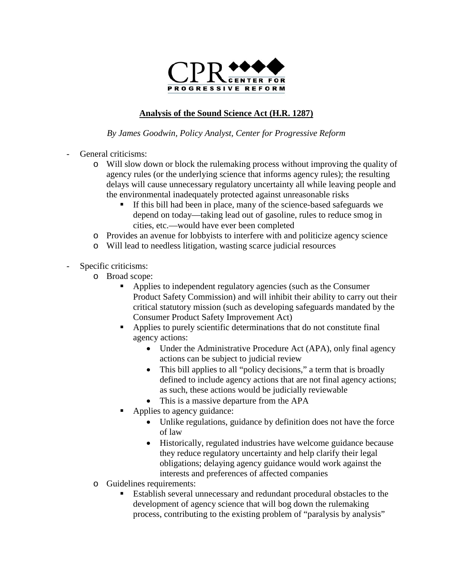

## **Analysis of the Sound Science Act (H.R. 1287)**

*By James Goodwin, Policy Analyst, Center for Progressive Reform*

- General criticisms:
	- o Will slow down or block the rulemaking process without improving the quality of agency rules (or the underlying science that informs agency rules); the resulting delays will cause unnecessary regulatory uncertainty all while leaving people and the environmental inadequately protected against unreasonable risks
		- If this bill had been in place, many of the science-based safeguards we depend on today—taking lead out of gasoline, rules to reduce smog in cities, etc.—would have ever been completed
	- o Provides an avenue for lobbyists to interfere with and politicize agency science
	- o Will lead to needless litigation, wasting scarce judicial resources
- Specific criticisms:
	- o Broad scope:
		- Applies to independent regulatory agencies (such as the Consumer Product Safety Commission) and will inhibit their ability to carry out their critical statutory mission (such as developing safeguards mandated by the Consumer Product Safety Improvement Act)
		- Applies to purely scientific determinations that do not constitute final agency actions:
			- Under the Administrative Procedure Act (APA), only final agency actions can be subject to judicial review
			- This bill applies to all "policy decisions," a term that is broadly defined to include agency actions that are not final agency actions; as such, these actions would be judicially reviewable
			- This is a massive departure from the APA
		- Applies to agency guidance:
			- Unlike regulations, guidance by definition does not have the force of law
			- Historically, regulated industries have welcome guidance because they reduce regulatory uncertainty and help clarify their legal obligations; delaying agency guidance would work against the interests and preferences of affected companies
	- o Guidelines requirements:
		- Establish several unnecessary and redundant procedural obstacles to the development of agency science that will bog down the rulemaking process, contributing to the existing problem of "paralysis by analysis"